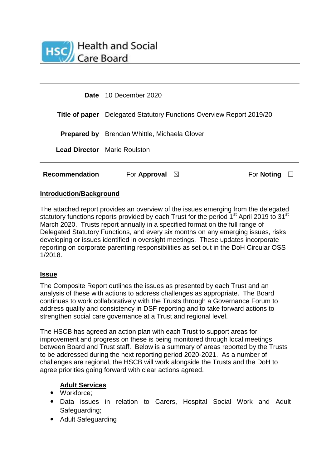

| <b>Recommendation</b> | For Approval<br>$\bowtie$                                                   | For <b>Noting</b> |  |
|-----------------------|-----------------------------------------------------------------------------|-------------------|--|
|                       | <b>Lead Director</b> Marie Roulston                                         |                   |  |
|                       | <b>Prepared by</b> Brendan Whittle, Michaela Glover                         |                   |  |
|                       | <b>Title of paper</b> Delegated Statutory Functions Overview Report 2019/20 |                   |  |
|                       | Date 10 December 2020                                                       |                   |  |

## **Introduction/Background**

The attached report provides an overview of the issues emerging from the delegated statutory functions reports provided by each Trust for the period 1<sup>st</sup> April 2019 to 31<sup>st</sup> March 2020. Trusts report annually in a specified format on the full range of Delegated Statutory Functions, and every six months on any emerging issues, risks developing or issues identified in oversight meetings. These updates incorporate reporting on corporate parenting responsibilities as set out in the DoH Circular OSS 1/2018.

## **Issue**

The Composite Report outlines the issues as presented by each Trust and an analysis of these with actions to address challenges as appropriate. The Board continues to work collaboratively with the Trusts through a Governance Forum to address quality and consistency in DSF reporting and to take forward actions to strengthen social care governance at a Trust and regional level.

The HSCB has agreed an action plan with each Trust to support areas for improvement and progress on these is being monitored through local meetings between Board and Trust staff. Below is a summary of areas reported by the Trusts to be addressed during the next reporting period 2020-2021. As a number of challenges are regional, the HSCB will work alongside the Trusts and the DoH to agree priorities going forward with clear actions agreed.

## **Adult Services**

- Workforce:
- Data issues in relation to Carers, Hospital Social Work and Adult Safeguarding;
- Adult Safeguarding